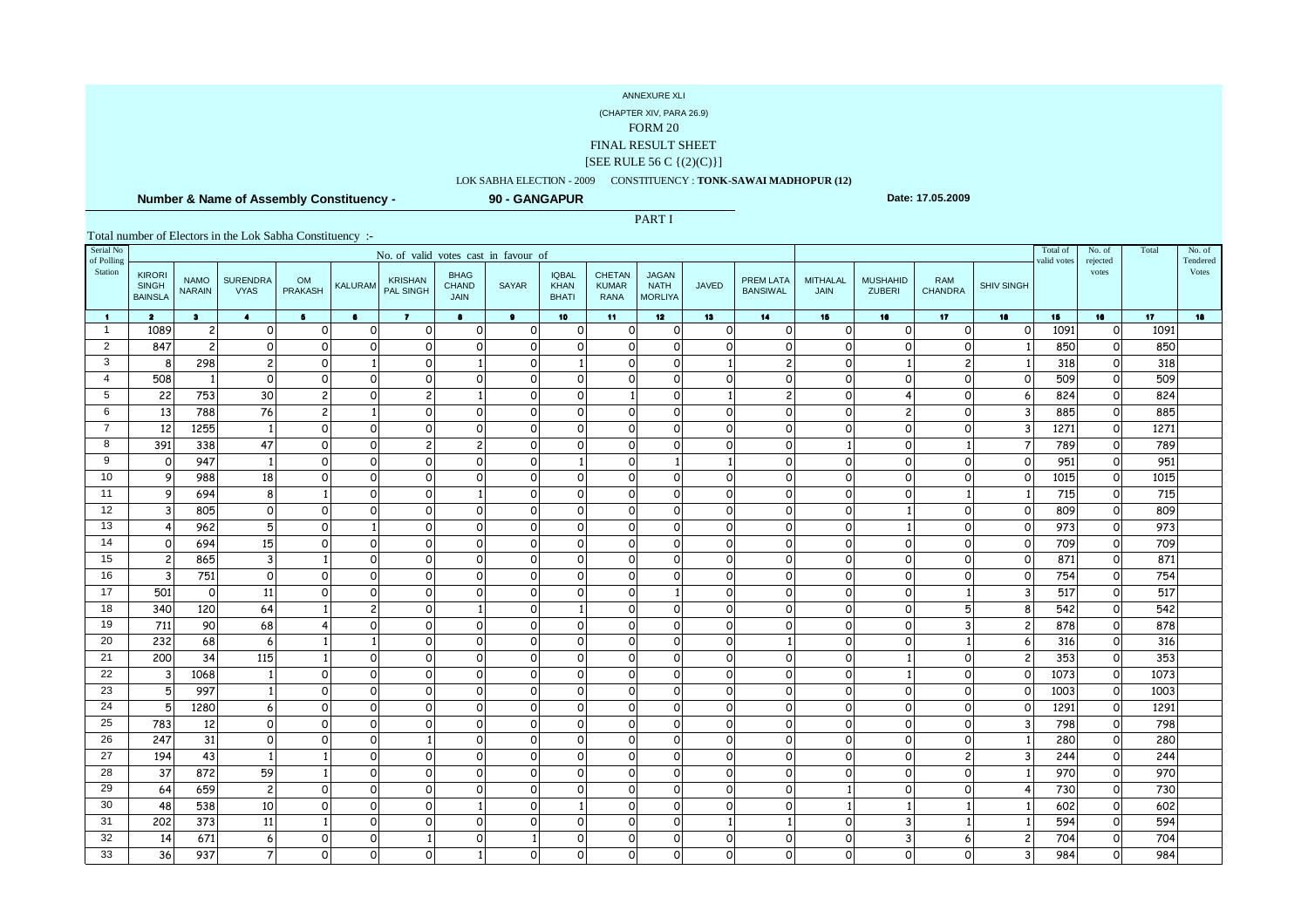(CHAPTER XIV, PARA 26.9)

FORM 20

FINAL RESULT SHEET

#### [SEE RULE 56 C {(2)(C)}]

### LOK SABHA ELECTION - 2009 CONSTITUENCY : **TONK-SAWAI MADHOPUR (12)**

PART I

 **Number & Name of Assembly Constituency -**

**90 - GANGAPUR**

**Date: 17.05.2009**

| Serial No<br>of Polling | No. of valid votes cast in favour of            |                              |                                |                             |                          |                             |                                            |                      |                                             |                                              |                                               |                      |                              |                              |                           |                       |                   | Total of<br>valid votes | No. of<br>rejected | Total           | No. of<br>Tendered |
|-------------------------|-------------------------------------------------|------------------------------|--------------------------------|-----------------------------|--------------------------|-----------------------------|--------------------------------------------|----------------------|---------------------------------------------|----------------------------------------------|-----------------------------------------------|----------------------|------------------------------|------------------------------|---------------------------|-----------------------|-------------------|-------------------------|--------------------|-----------------|--------------------|
| Station                 | <b>KIRORI</b><br><b>SINGH</b><br><b>BAINSLA</b> | <b>NAMO</b><br><b>NARAIN</b> | <b>SURENDRA</b><br><b>VYAS</b> | <b>OM</b><br><b>PRAKASH</b> | <b>KALURAM</b>           | <b>KRISHAN</b><br>PAL SINGH | <b>BHAG</b><br><b>CHAND</b><br><b>JAIN</b> | <b>SAYAR</b>         | <b>IQBAL</b><br><b>KHAN</b><br><b>BHATI</b> | <b>CHETAN</b><br><b>KUMAR</b><br><b>RANA</b> | <b>JAGAN</b><br><b>NATH</b><br><b>MORLIYA</b> | <b>JAVED</b>         | PREM LATA<br><b>BANSIWAL</b> | <b>MITHALAL</b><br>JAIN      | <b>MUSHAHID</b><br>ZUBERI | RAM<br><b>CHANDRA</b> | <b>SHIV SINGH</b> |                         | votes              |                 | Votes              |
| $\blacksquare$          | $\overline{\mathbf{2}}$                         | $\bullet$                    | $\bullet$                      | 5 <sup>1</sup>              | $\bullet$                | $\mathbf{z}$                | $\bullet$                                  | $\bullet$            | 10                                          | 11                                           | 12 <sub>2</sub>                               | 13                   | 14                           | 15                           | 16                        | 17 <sub>2</sub>       | 18                | 15                      | 16                 | 17 <sub>2</sub> | 18                 |
| $\mathbf{1}$            | 1089                                            | $\mathbf{2}$                 | $\circ$                        | $\Omega$                    | $\circ$                  | $\mathbf 0$                 | $\circ$                                    | $\circ$              | $\mathsf{o}$                                | $\circ$                                      | $\mathsf{o}$                                  | $\Omega$             | $\Omega$                     | $\circ$                      | $\Omega$                  | $\Omega$              | $\Omega$          | 1091                    | $\circ$            | 1091            |                    |
| 2                       | 847                                             | $2 \overline{2}$             | $\mathsf{o}$                   | $\Omega$                    | $\Omega$                 | $\circ$                     | $\Omega$                                   | $\circ$              | $\circ$                                     | $\circ$                                      | $\Omega$                                      | $\Omega$             | $\circ$                      | $\mathsf{o}$                 | $\Omega$                  | $\Omega$              |                   | 850                     | $\circ$            | 850             |                    |
| 3                       | 8                                               | 298                          | $2 \mid$                       | $\Omega$                    |                          | $\Omega$                    |                                            | $\circ$              |                                             | $\circ$                                      | $\Omega$                                      |                      | $\overline{c}$               | $\mathsf{o}$                 |                           | $\overline{c}$        |                   | 318                     | $\circ$            | 318             |                    |
| $\overline{4}$          | 508                                             | $\overline{1}$               | $\circ$                        |                             | O                        | $\Omega$                    | $\Omega$                                   | $\Omega$             | $\Omega$                                    | $\Omega$                                     | $\Omega$                                      | $\Omega$             | $\Omega$                     | $\circ$                      | 0                         | 0                     | $\Omega$          | 509                     | $\Omega$           | 509             |                    |
| 5                       | 22                                              | 753                          | 30                             |                             | $\Omega$                 | $\overline{c}$              |                                            | $\Omega$             | $\circ$                                     | $\mathbf{1}$                                 | $\Omega$                                      |                      | $\overline{c}$               | $\mathsf{o}$                 | Δ                         | 0                     |                   | 824                     | $\circ$            | 824             |                    |
| 6                       | 13                                              | 788                          | 76                             | $\mathcal{P}$               |                          | $\Omega$                    | $\Omega$                                   | $\Omega$             | $\circ$                                     | $\circ$                                      | $\Omega$                                      | $\Omega$             | $\circ$                      | $\Omega$                     | $\overline{c}$            | $\Omega$              |                   | 885                     | $\Omega$           | 885             |                    |
| $\overline{7}$          | 12                                              | 1255                         |                                | $\Omega$                    | $\circ$                  | $\Omega$                    | $\Omega$                                   | $\circ$              | $\circ$                                     | $\circ$                                      | $\Omega$                                      | $\Omega$             | $\circ$                      | $\mathsf{o}$                 | $\circ$                   | $\overline{O}$        |                   | 1271                    | $\circ$            | 1271            |                    |
| 8                       | 391                                             | 338                          | 47                             | $\Omega$                    | $\Omega$                 | $\overline{c}$              | $\overline{c}$                             | $\Omega$             | $\circ$                                     | $\circ$                                      | $\Omega$                                      | $\Omega$             | $\Omega$                     | 1                            | $\Omega$                  |                       |                   | 789                     | $\Omega$           | 789             |                    |
| 9                       | $\mathsf{o}$                                    | 947                          |                                | $\Omega$                    | $\circ$                  | $\Omega$                    | $\Omega$                                   | $\circ$              |                                             | $\circ$                                      |                                               |                      | $\circ$                      | $\circ$                      | $\circ$                   | $\overline{O}$        | $\Omega$          | 951                     | $\circ$            | 951             |                    |
| 10<br>11                | 9                                               | 988                          | 18                             | $\Omega$                    | $\Omega$                 | $\Omega$                    | $\Omega$                                   | $\Omega$             | $\circ$                                     | $\circ$                                      | $\Omega$                                      | $\Omega$             | $\circ$                      | $\circ$                      | $\Omega$                  | $\Omega$              | $\Omega$          | 1015                    | $\circ$            | 1015            |                    |
| 12                      | 9<br>$\mathbf{3}$                               | 694<br>805                   | 8<br>$\circ$                   | $\Omega$                    | $\Omega$<br>$\Omega$     | $\Omega$<br>$\Omega$        | $\Omega$                                   | $\Omega$<br>$\Omega$ | $\circ$<br>$\Omega$                         | $\circ$<br>$\circ$                           | $\Omega$<br>$\Omega$                          | $\Omega$<br>$\Omega$ | $\circ$<br>$\circ$           | $\mathsf{o}$<br>$\mathsf{o}$ | $\Omega$                  | $\Omega$              | $\Omega$          | 715<br>809              | $\circ$<br>$\circ$ | 715<br>809      |                    |
| 13                      | $\overline{4}$                                  | 962                          | 5                              | $\Omega$                    |                          | $\Omega$                    | 0                                          | $\circ$              | $\circ$                                     | $\circ$                                      | $\Omega$                                      | $\Omega$             | $\circ$                      | $\mathsf{o}$                 |                           | $\overline{O}$        | $\Omega$          | 973                     | $\circ$            | 973             |                    |
| 14                      | 0                                               | 694                          | 15                             | $\Omega$                    | $\Omega$                 | $\Omega$                    | O                                          | $\Omega$             | $\Omega$                                    | $\circ$                                      | $\Omega$                                      | $\Omega$             | $\circ$                      | $\circ$                      | $\Omega$                  | $\Omega$              | $\Omega$          | 709                     | $\circ$            | 709             |                    |
| 15                      | $\overline{c}$                                  | 865                          | $\overline{3}$                 |                             | $\Omega$                 | $\Omega$                    | $\Omega$                                   | $\Omega$             | $\Omega$                                    | $\Omega$                                     | $\Omega$                                      | $\Omega$             | $\Omega$                     | $\Omega$                     | $\Omega$                  | $\Omega$              | $\Omega$          | 871                     | $\Omega$           | 871             |                    |
| 16                      | $\mathbf{3}$                                    | 751                          | $\circ$                        | $\Omega$                    | $\Omega$                 | $\Omega$                    | O                                          | $\Omega$             | $\Omega$                                    | $\circ$                                      | $\Omega$                                      | $\Omega$             | $\circ$                      | $\circ$                      | $\Omega$                  | $\Omega$              | $\Omega$          | 754                     | $\circ$            | 754             |                    |
| 17                      | 501                                             | $\circ$                      | 11                             | $\Omega$                    | $\Omega$                 | $\Omega$                    | 0                                          | $\Omega$             | $\Omega$                                    | $\circ$                                      |                                               | $\Omega$             | $\circ$                      | $\circ$                      | $\Omega$                  |                       | 3                 | 517                     | $\Omega$           | 517             |                    |
| 18                      | 340                                             | 120                          | 64                             |                             | $\overline{\phantom{0}}$ | $\Omega$                    |                                            | $\mathsf{o}$         |                                             | $\circ$                                      | $\Omega$                                      | $\Omega$             | $\circ$                      | $\mathsf{o}$                 | $\circ$                   | 丂                     | 8                 | 542                     | $\circ$            | 542             |                    |
| 19                      | 711                                             | 90                           | 68                             |                             | $\Omega$                 | $\Omega$                    | $\Omega$                                   | $\Omega$             | $\Omega$                                    | $\Omega$                                     | $\Omega$                                      | $\Omega$             | $\Omega$                     | $\circ$                      | $\Omega$                  | 3                     | 2                 | 878                     | $\Omega$           | 878             |                    |
| 20                      | 232                                             | 68                           | 6                              |                             |                          | $\Omega$                    | $\Omega$                                   | $\circ$              | $\circ$                                     | $\circ$                                      | $\Omega$                                      | $\Omega$             |                              | $\mathsf{o}$                 | $\Omega$                  |                       | 6                 | 316                     | $\circ$            | 316             |                    |
| 21                      | 200                                             | 34                           | 115                            |                             | $\Omega$                 | $\Omega$                    | $\Omega$                                   | $\mathsf{o}$         | $\circ$                                     | $\circ$                                      | $\Omega$                                      | $\Omega$             | $\circ$                      | $\mathsf{o}$                 |                           | $\Omega$              | 2                 | 353                     | $\circ$            | 353             |                    |
| 22                      | 3                                               | 1068                         |                                |                             | $\Omega$                 | $\Omega$                    | $\Omega$                                   | $\circ$              | $\circ$                                     | $\circ$                                      | $\Omega$                                      | $\Omega$             | $\circ$                      | $\mathsf{o}$                 |                           | $\Omega$              | O                 | 1073                    | $\circ$            | 1073            |                    |
| 23                      | 5                                               | 997                          |                                |                             | $\Omega$                 | $\Omega$                    | $\Omega$                                   | $\Omega$             | $\Omega$                                    | $\circ$                                      | $\Omega$                                      | $\Omega$             | $\circ$                      | $\mathsf{o}$                 | $\Omega$                  | $\Omega$              | U                 | 1003                    | $\circ$            | 1003            |                    |
| 24                      | 5                                               | 1280                         | 6                              |                             | $\Omega$                 | $\Omega$                    | $\Omega$                                   | $\circ$              | $\circ$                                     | $\circ$                                      | $\Omega$                                      | $\Omega$             | $\circ$                      | $\mathsf{o}$                 | $\Omega$                  | $\overline{O}$        | ∩                 | 1291                    | $\circ$            | 1291            |                    |
| 25                      | 783                                             | 12                           | $\Omega$                       | ∩                           | $\Omega$                 | $\Omega$                    | $\Omega$                                   | $\Omega$             | $\Omega$                                    | $\circ$                                      | $\Omega$                                      | $\Omega$             | $\Omega$                     | $\Omega$                     | $\Omega$                  | $\Omega$              |                   | 798                     | $\Omega$           | 798             |                    |
| 26                      | 247                                             | 31                           | $\circ$                        |                             | 0                        |                             | 0                                          | $\circ$              | $\circ$                                     | $\circ$                                      | $\Omega$                                      | $\Omega$             | $\circ$                      | $\Omega$                     | $\Omega$                  | 0                     |                   | 280                     | 0                  | 280             |                    |
| 27                      | 194                                             | 43                           |                                |                             | $\Omega$                 | $\Omega$                    | $\Omega$                                   | $\Omega$             | $\circ$                                     | $\circ$                                      | $\Omega$                                      | $\Omega$             | $\circ$                      | $\circ$                      | $\Omega$                  | $\overline{c}$        |                   | 244                     | 0                  | 244             |                    |
| 28                      | 37                                              | 872                          | 59                             |                             | $\Omega$                 | $\Omega$                    | $\Omega$                                   | $\Omega$             | $\Omega$                                    | $\Omega$                                     | $\Omega$                                      | $\Omega$             | $\Omega$                     | $\Omega$                     | $\Omega$                  | $\Omega$              |                   | 970                     | $\Omega$           | 970             |                    |
| 29                      | 64                                              | 659                          | $\overline{c}$                 | $\Omega$                    | 0                        | $\Omega$                    | $\Omega$                                   | $\circ$              | $\circ$                                     | $\circ$                                      | $\Omega$                                      | $\Omega$             | $\circ$                      | $\mathbf{1}$                 | $\Omega$                  | $\Omega$              |                   | 730                     | $\circ$            | 730             |                    |
| 30                      | 48                                              | 538                          | 10                             |                             | $\Omega$                 | $\Omega$                    |                                            | $\Omega$             |                                             | $\Omega$                                     | $\Omega$                                      | $\Omega$             | $\Omega$                     | $\mathbf{1}$                 |                           |                       |                   | 602                     | $\Omega$           | 602             |                    |
| 31                      | 202                                             | 373                          | 11                             |                             | $\Omega$                 | $\Omega$                    | $\Omega$                                   | 0                    | $\circ$                                     | $\circ$                                      | $\Omega$                                      |                      |                              | $\Omega$                     | 3                         |                       |                   | 594                     | 0                  | 594             |                    |
| 32                      | 14                                              | 671                          | 6                              | ∩                           | $\Omega$                 |                             | $\Omega$                                   |                      | $\circ$                                     | $\circ$                                      | $\Omega$                                      | $\Omega$             | $\circ$                      | $\circ$                      | 3                         | 6                     |                   | 704                     | $\Omega$           | 704             |                    |
| 33                      | 36                                              | 937                          | $\overline{7}$                 |                             | O                        | $\Omega$                    |                                            | 0                    | $\circ$                                     | $\circ$                                      | O                                             | $\Omega$             | $\circ$                      | 0                            | $\Omega$                  | 0                     |                   | 984                     | 0                  | 984             |                    |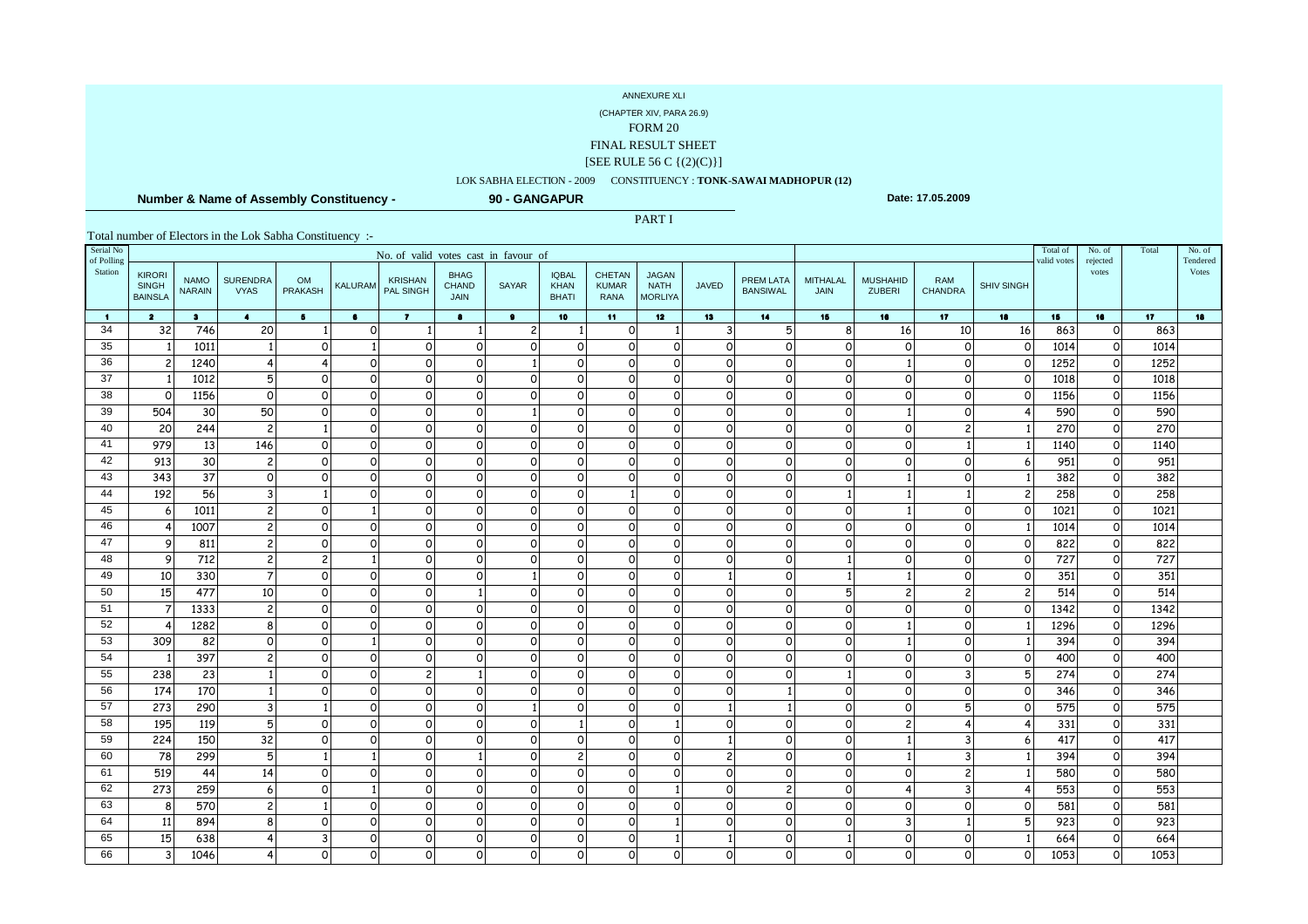(CHAPTER XIV, PARA 26.9)

FORM 20

FINAL RESULT SHEET

#### [SEE RULE 56 C {(2)(C)}]

### LOK SABHA ELECTION - 2009 CONSTITUENCY : **TONK-SAWAI MADHOPUR (12)**

PART I

 **Number & Name of Assembly Constituency -**

**90 - GANGAPUR**

**Date: 17.05.2009**

| Serial No<br>of Polling | No. of valid votes cast in favour of            |                              |                                |                |                |                             |                                            |                    |                                             |                                              |                                               |                     |                                     |                             |                                  |                       |                   | Total of<br>valid votes | No. of<br>rejected | Total           | No. of<br>Tendered |
|-------------------------|-------------------------------------------------|------------------------------|--------------------------------|----------------|----------------|-----------------------------|--------------------------------------------|--------------------|---------------------------------------------|----------------------------------------------|-----------------------------------------------|---------------------|-------------------------------------|-----------------------------|----------------------------------|-----------------------|-------------------|-------------------------|--------------------|-----------------|--------------------|
| Station                 | <b>KIRORI</b><br><b>SINGH</b><br><b>BAINSLA</b> | <b>NAMO</b><br><b>NARAIN</b> | <b>SURENDRA</b><br><b>VYAS</b> | OM<br>PRAKASH  | <b>KALURAM</b> | <b>KRISHAN</b><br>PAL SINGH | <b>BHAG</b><br><b>CHAND</b><br><b>JAIN</b> | <b>SAYAR</b>       | <b>IQBAL</b><br><b>KHAN</b><br><b>BHATI</b> | <b>CHETAN</b><br><b>KUMAR</b><br><b>RANA</b> | <b>JAGAN</b><br><b>NATH</b><br><b>MORLIYA</b> | <b>JAVED</b>        | <b>PREM LATA</b><br><b>BANSIWAL</b> | <b>MITHALAL</b><br>JAIN     | <b>MUSHAHID</b><br><b>ZUBERI</b> | RAM<br><b>CHANDRA</b> | <b>SHIV SINGH</b> |                         | votes              |                 | Votes              |
| $\blacksquare$          | $\overline{\mathbf{2}}$                         | $\bullet$                    | $\ddot{\bullet}$               | 5 <sub>1</sub> | $\bullet$      | $\overline{7}$              | $\bullet$                                  | $\bullet$          | 10                                          | 11 <sub>1</sub>                              | 12 <sub>2</sub>                               | 13                  | 14                                  | 15                          | 16                               | 17                    | 18                | 15                      | 16                 | 17 <sub>2</sub> | 18                 |
| 34                      | 32                                              | 746                          | 20                             |                | $\mathsf{o}$   | -1                          |                                            | $\overline{c}$     |                                             | $\mathsf{o}$                                 | $\mathbf{1}$                                  | 3                   | 5                                   | 8                           | 16                               | 10                    | 16                | 863                     | $\Omega$           | 863             |                    |
| 35                      |                                                 | 1011                         |                                | $\Omega$       |                | $\circ$                     | $\circ$                                    | $\mathsf{o}$       | $\mathsf{o}$                                | $\circ$                                      | $\overline{O}$                                | $\mathsf{o}$        | $\circ$                             | $\mathsf{o}$                | $\Omega$                         | O                     | $\Omega$          | 1014                    | 0                  | 1014            |                    |
| 36                      | $\overline{c}$                                  | 1240                         |                                |                | $\mathsf{o}$   | $\circ$                     | $\Omega$                                   |                    | $\circ$                                     | $\circ$                                      | $\circ$                                       | $\Omega$            | οl                                  | $\mathsf{o}$                |                                  | $\Omega$              |                   | 1252                    | $\circ$            | 1252            |                    |
| 37                      |                                                 | 1012                         | 5                              | $\Omega$       | $\mathsf{o}$   | $\Omega$                    | $\Omega$                                   | $\mathsf{o}$       | $\circ$                                     | $\Omega$                                     | $\Omega$                                      | $\Omega$            | $\Omega$                            | $\circ$                     | $\Omega$                         | $\Omega$              |                   | 1018                    | $\Omega$           | 1018            |                    |
| 38                      | 0                                               | 1156                         | $\Omega$                       | $\Omega$       | $\mathsf{o}$   | $\Omega$                    | $\Omega$                                   | $\mathsf{o}$       | $\circ$                                     | $\circ$                                      | $\circ$                                       | $\Omega$            | $\circ$                             | $\mathsf{o}$                | 0                                | 0                     |                   | 1156                    | $\circ$            | 1156            |                    |
| 39                      | 504                                             | 30                           | 50                             | $\Omega$       | $\circ$        | $\Omega$                    | $\Omega$                                   |                    | $\Omega$                                    | $\Omega$                                     | $\Omega$                                      | $\Omega$            | $\Omega$                            | $\circ$                     |                                  | $\Omega$              |                   | 590                     | $\Omega$           | 590             |                    |
| 40                      | 20                                              | 244                          | $\overline{c}$                 |                | $\mathsf{o}$   | $\mathbf 0$                 | $\circ$                                    | $\circ$            | $\circ$                                     | $\circ$                                      | $\circ$                                       | $\circ$             | $\circ$                             | $\mathsf{o}$                | $\Omega$                         | $\overline{c}$        |                   | 270                     | $\circ$            | 270             |                    |
| 41                      | 979                                             | 13                           | 146                            | $\Omega$       | $\Omega$       | $\Omega$                    | $\Omega$                                   | $\circ$            | $\circ$                                     | $\Omega$                                     | $\Omega$                                      | $\Omega$            | $\Omega$                            | $\circ$                     | $\Omega$                         |                       |                   | 1140                    | $\circ$            | 1140            |                    |
| 42<br>43                | 913                                             | 30                           | $\overline{c}$                 | $\Omega$       | $\circ$        | $\mathbf 0$                 | $\circ$                                    | $\circ$            | $\circ$                                     | $\circ$                                      | $\circ$                                       | $\Omega$            | οl                                  | $\mathbf 0$                 | $\Omega$                         | $\circ$               |                   | 951                     | $\circ$            | 951             |                    |
| 44                      | 343                                             | 37<br>56                     | $\Omega$                       | $\Omega$       | $\circ$        | $\Omega$                    | $\Omega$                                   | $\circ$            | $\circ$                                     | $\Omega$                                     | $\circ$                                       | $\Omega$            | οl                                  | $\mathbf 0$<br>$\mathbf{1}$ |                                  | $\Omega$              |                   | 382                     | $\circ$            | 382             |                    |
| 45                      | 192<br>6                                        | 1011                         | $\overline{3}$<br>2            | $\Omega$       | $\mathsf{o}$   | $\Omega$<br>$\Omega$        | $\Omega$<br>$\Omega$                       | $\circ$<br>$\circ$ | $\circ$<br>$\Omega$                         | $\Omega$                                     | $\overline{O}$<br>$\Omega$                    | $\circ$<br>$\Omega$ | οl<br>οl                            | $\mathbf 0$                 |                                  | $\Omega$              | O                 | 258<br>1021             | $\circ$<br>$\circ$ | 258<br>1021     |                    |
| 46                      | $\overline{4}$                                  | 1007                         | $2 \mid$                       | $\Omega$       | $\Omega$       | $\circ$                     | $\circ$                                    | $\mathsf{o}$       | $\circ$                                     | $\circ$                                      | $\circ$                                       | $\circ$             | οl                                  | $\mathsf O$                 | $\Omega$                         | $\Omega$              |                   | 1014                    | $\circ$            | 1014            |                    |
| 47                      | 9                                               | 811                          | 2                              | $\Omega$       | $\Omega$       | $\Omega$                    | $\Omega$                                   | $\mathsf{o}$       | $\circ$                                     | $\Omega$                                     | $\Omega$                                      | $\Omega$            | οl                                  | $\mathsf{o}$                | $\Omega$                         | $\Omega$              | U                 | 822                     | $\circ$            | 822             |                    |
| 48                      | 9                                               | 712                          | 2                              | $\overline{c}$ |                | $\Omega$                    | $\Omega$                                   | $\Omega$           | $\Omega$                                    | $\Omega$                                     | $\Omega$                                      | $\Omega$            | $\Omega$                            | $\mathbf{1}$                | $\Omega$                         | $\Omega$              | O                 | 727                     | $\Omega$           | 727             |                    |
| 49                      | 10                                              | 330                          | $\overline{7}$                 | $\Omega$       | $\Omega$       | $\Omega$                    | $\Omega$                                   |                    | $\Omega$                                    | $\circ$                                      | $\circ$                                       |                     | οl                                  | $\mathbf{1}$                |                                  | $\Omega$              | ∩                 | 351                     | $\circ$            | 351             |                    |
| 50                      | 15                                              | 477                          | 10                             | $\Omega$       | $\mathsf{o}$   | $\Omega$                    |                                            | $\mathsf{o}$       | $\Omega$                                    | $\Omega$                                     | $\Omega$                                      | $\Omega$            | οl                                  | 5                           | $\overline{c}$                   | $\overline{c}$        | 2                 | 514                     | $\Omega$           | 514             |                    |
| 51                      | $\overline{7}$                                  | 1333                         | 2                              | $\Omega$       | $\Omega$       | $\circ$                     | $\Omega$                                   | $\mathsf{o}$       | $\circ$                                     | $\mathsf{o}$                                 | $\circ$                                       | $\circ$             | $\circ$                             | $\mathsf O$                 | $\circ$                          | $\circ$               |                   | 1342                    | $\circ$            | 1342            |                    |
| 52                      | $\overline{4}$                                  | 1282                         | 8                              | $\Omega$       | $\Omega$       | $\Omega$                    | $\Omega$                                   | $\circ$            | $\Omega$                                    | $\Omega$                                     | $\Omega$                                      | $\Omega$            | $\circ$                             | $\circ$                     |                                  | $\Omega$              |                   | 1296                    | $\Omega$           | 1296            |                    |
| 53                      | 309                                             | 82                           | $\Omega$                       | $\Omega$       |                | $\Omega$                    | $\Omega$                                   | $\mathsf{o}$       | $\circ$                                     | $\Omega$                                     | $\overline{O}$                                | $\Omega$            | $\circ$                             | $\mathsf{o}$                |                                  | $\Omega$              |                   | 394                     | $\circ$            | 394             |                    |
| 54                      |                                                 | 397                          | $\overline{2}$                 | $\Omega$       | $\Omega$       | $\Omega$                    | $\Omega$                                   | $\mathsf{o}$       | $\circ$                                     | $\mathsf{o}$                                 | $\circ$                                       | $\circ$             | $\circ$                             | $\mathsf{o}$                | $\circ$                          | $\Omega$              | O                 | 400                     | $\circ$            | 400             |                    |
| 55                      | 238                                             | 23                           |                                | $\Omega$       | $\Omega$       | $\overline{c}$              |                                            | $\mathsf{o}$       | $\circ$                                     | $\mathsf{o}$                                 | $\circ$                                       | $\Omega$            | $\circ$                             | $\mathbf{1}$                | $\Omega$                         | 3                     | 片                 | 274                     | $\circ$            | 274             |                    |
| 56                      | 174                                             | 170                          |                                | n              | $\Omega$       | $\Omega$                    | $\Omega$                                   | $\mathsf{o}$       | $\Omega$                                    | $\Omega$                                     | $\Omega$                                      | $\Omega$            |                                     | $\mathsf{o}$                | $\Omega$                         | $\Omega$              | O                 | 346                     | $\Omega$           | 346             |                    |
| 57                      | 273                                             | 290                          | 3                              |                | $\Omega$       | $\circ$                     | $\Omega$                                   |                    | $\circ$                                     | $\circ$                                      | $\overline{O}$                                |                     | $\mathbf{1}$                        | $\mathsf{o}$                | $\circ$                          | 5                     | O                 | 575                     | $\circ$            | 575             |                    |
| 58                      | 195                                             | 119                          | 5                              | n              | $\Omega$       | $\Omega$                    | $\Omega$                                   | $\mathsf{o}$       |                                             | $\circ$                                      | 1                                             | $\Omega$            | $\Omega$                            | $\mathsf{o}$                | 2                                |                       |                   | 331                     | $\Omega$           | 331             |                    |
| 59                      | 224                                             | 150                          | 32                             | O              | $\Omega$       | $\circ$                     | $\circ$                                    | $\mathsf{o}$       | $\circ$                                     | $\circ$                                      | $\overline{O}$                                |                     | $\circ$                             | $\circ$                     |                                  | 3                     |                   | 417                     | 0                  | 417             |                    |
| 60                      | 78                                              | 299                          | 5                              |                |                | $\Omega$                    |                                            | $\mathsf{o}$       | $\overline{c}$                              | $\circ$                                      | <sub>0</sub>                                  | 2                   | $\circ$                             | $\mathsf{o}$                |                                  | 3                     |                   | 394                     | 0                  | 394             |                    |
| 61                      | 519                                             | 44                           | 14                             | $\Omega$       | $\Omega$       | $\Omega$                    | $\Omega$                                   | $\circ$            | $\Omega$                                    | $\Omega$                                     | $\Omega$                                      | $\Omega$            | $\Omega$                            | $\Omega$                    | $\Omega$                         | $\overline{c}$        |                   | 580                     | $\Omega$           | 580             |                    |
| 62                      | 273                                             | 259                          | 6                              | ∩              |                | $\Omega$                    | $\Omega$                                   | $\circ$            | $\circ$                                     | $\Omega$                                     | 1                                             | $\Omega$            | $\overline{2}$                      | $\mathsf{o}$                | 4                                | 3                     |                   | 553                     | $\Omega$           | 553             |                    |
| 63                      | 8                                               | 570                          | $\overline{c}$                 |                | $\Omega$       | $\Omega$                    | $\Omega$                                   | $\circ$            | $\circ$                                     | $\Omega$                                     | $\Omega$                                      | $\Omega$            | $\circ$                             | $\Omega$                    | $\Omega$                         | $\Omega$              | ∩                 | 581                     | $\Omega$           | 581             |                    |
| 64                      | 11                                              | 894                          | 8                              | ∩              | $\Omega$       | $\Omega$                    | $\Omega$                                   | $\mathsf{o}$       | $\circ$                                     | $\Omega$                                     |                                               | $\Omega$            | $\circ$                             | $\mathsf{o}$                | 3                                |                       | 厉                 | 923                     | 0                  | 923             |                    |
| 65                      | 15                                              | 638                          |                                |                | $\Omega$       | $\Omega$                    | $\Omega$                                   | $\mathsf{o}$       | $\circ$                                     | $\mathsf{o}$                                 |                                               |                     | $\circ$                             | $\mathbf{1}$                | $\Omega$                         | $\Omega$              |                   | 664                     | $\Omega$           | 664             |                    |
| 66                      | 3                                               | 1046                         |                                | O              | $\mathsf{o}$   | 0                           | $\circ$                                    | $\mathsf{o}\,$     | $\mathbf 0$                                 | $\circ$                                      | <sub>0</sub>                                  | $\Omega$            | $\Omega$                            | $\Omega$                    | O                                | O                     |                   | 1053                    | $\circ$            | 1053            |                    |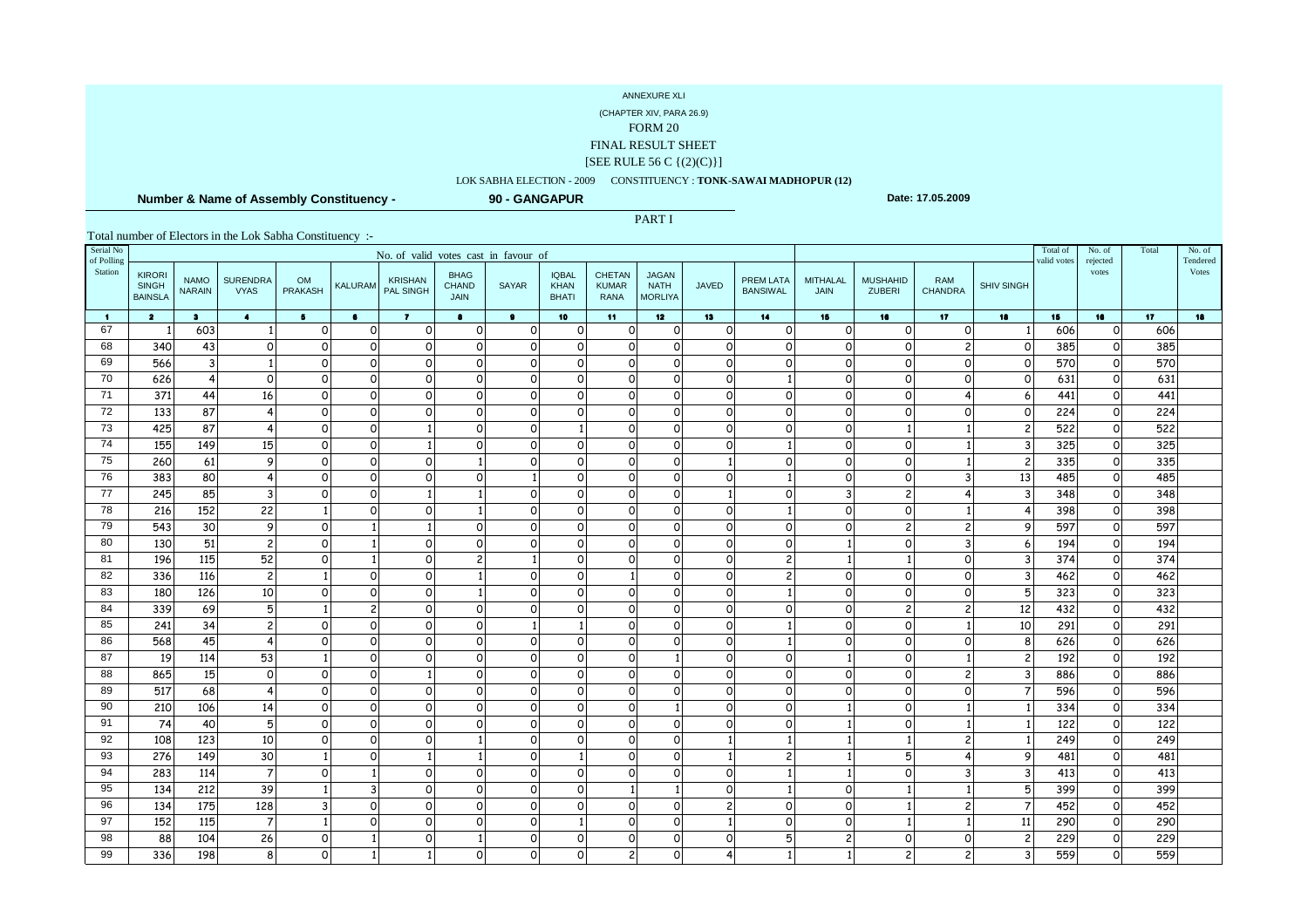(CHAPTER XIV, PARA 26.9)

FORM 20

FINAL RESULT SHEET

#### [SEE RULE 56 C {(2)(C)}]

### LOK SABHA ELECTION - 2009 CONSTITUENCY : **TONK-SAWAI MADHOPUR (12)**

PART I

 **Number & Name of Assembly Constituency -**

**90 - GANGAPUR**

**Date: 17.05.2009**

| Serial No<br>of Polling | No. of valid votes cast in favour of            |                              |                                |                             |                                  |                                    |                                            |                |                                             |                                              |                                               |                          |                                     |                                |                                  |                              |                   | Total of<br>valid votes | No. of<br>rejected      | Total           | No. of<br>Tendered |
|-------------------------|-------------------------------------------------|------------------------------|--------------------------------|-----------------------------|----------------------------------|------------------------------------|--------------------------------------------|----------------|---------------------------------------------|----------------------------------------------|-----------------------------------------------|--------------------------|-------------------------------------|--------------------------------|----------------------------------|------------------------------|-------------------|-------------------------|-------------------------|-----------------|--------------------|
| Station                 | <b>KIRORI</b><br><b>SINGH</b><br><b>BAINSLA</b> | <b>NAMO</b><br><b>NARAIN</b> | <b>SURENDRA</b><br><b>VYAS</b> | <b>OM</b><br><b>PRAKASH</b> | <b>KALURAM</b>                   | <b>KRISHAN</b><br><b>PAL SINGH</b> | <b>BHAG</b><br><b>CHAND</b><br><b>JAIN</b> | <b>SAYAR</b>   | <b>IQBAL</b><br><b>KHAN</b><br><b>BHATI</b> | <b>CHETAN</b><br><b>KUMAR</b><br><b>RANA</b> | <b>JAGAN</b><br><b>NATH</b><br><b>MORLIYA</b> | <b>JAVED</b>             | <b>PREM LATA</b><br><b>BANSIWAL</b> | <b>MITHALAL</b><br><b>JAIN</b> | <b>MUSHAHID</b><br><b>ZUBERI</b> | <b>RAM</b><br><b>CHANDRA</b> | <b>SHIV SINGH</b> |                         | votes                   |                 | Votes              |
| $\blacksquare$          | $\overline{\mathbf{2}}$                         | $\bullet$                    | $\bullet$                      | 5 <sub>1</sub>              | $\bullet$                        | $\mathbf{z}$                       | $\bullet$                                  | $\bullet$      | 10                                          | 11                                           | 12 <sub>2</sub>                               | 13                       | 14                                  | 15                             | 16                               | 17                           | 18                | 15                      | 16                      | 17 <sub>1</sub> | 18                 |
| 67                      | -1                                              | 603                          |                                | $\Omega$                    | $\mathsf{o}$                     | $\mathbf 0$                        | $\circ$                                    | $\overline{O}$ | $\circ$                                     | $\circ$                                      | $\Omega$                                      | $\Omega$                 | $\Omega$                            | $\mathsf{o}$                   | $\mathsf{o}$                     | $\Omega$                     |                   | 606                     | $\mathbf 0$             | 606             |                    |
| 68                      | 340                                             | 43                           | $\circ$                        | ∩                           | 0                                | $\circ$                            | $\circ$                                    | $\overline{O}$ | $\circ$                                     | $\circ$                                      | $\Omega$                                      | 0                        | 0                                   | $\mathsf{o}$                   | $\circ$                          | $\overline{c}$               | $\Omega$          | 385                     | $\circ$                 | 385             |                    |
| 69                      | 566                                             | $\overline{3}$               |                                | 0                           | 0                                | $\circ$                            | $\circ$                                    | $\overline{O}$ | $\circ$                                     | $\circ$                                      | $\Omega$                                      | 0                        | $\circ$                             | $\circ$                        | $\circ$                          | $\Omega$                     | $\Omega$          | 570                     | $\mathsf{o}$            | 570             |                    |
| 70                      | 626                                             | $\overline{4}$               | $\Omega$                       | $\Omega$                    | $\Omega$                         | $\Omega$                           | $\circ$                                    | $\circ$        | $\circ$                                     | $\Omega$                                     | $\Omega$                                      | 0                        |                                     | $\Omega$                       | $\mathsf{o}$                     | $\Omega$                     | 0                 | 631                     | $\circ$                 | 631             |                    |
| 71                      | 371                                             | 44                           | 16                             | ∩                           | 0                                | $\Omega$                           | $\circ$                                    | $\overline{O}$ | $\circ$                                     | $\Omega$                                     | $\Omega$                                      | ∩                        | 0                                   | $\mathsf{o}$                   | $\circ$                          |                              | 6                 | 441                     | $\circ$                 | 441             |                    |
| 72                      | 133                                             | $\overline{87}$              | 4                              | $\Omega$                    | $\Omega$                         | $\Omega$                           | $\Omega$                                   | $\Omega$       | $\circ$                                     | $\Omega$                                     | $\Omega$                                      | $\Omega$                 | $\Omega$                            | $\Omega$                       | $\mathsf{o}$                     | $\Omega$                     | $\Omega$          | 224                     | $\circ$                 | 224             |                    |
| $\overline{73}$<br>74   | 425                                             | 87                           | $\overline{4}$                 | 0                           | $\overline{O}$                   |                                    | $\Omega$                                   | $\overline{O}$ | $\mathbf{1}$                                | $\circ$                                      | $\Omega$                                      | 0                        | $\circ$                             | $\mathsf{o}$                   | 1                                |                              |                   | 522                     | $\circ$                 | 522             |                    |
|                         | 155                                             | 149                          | 15                             | 0                           | $\Omega$                         |                                    | $\Omega$                                   | $\Omega$       | $\circ$                                     | $\Omega$                                     | $\Omega$                                      | $\Omega$                 |                                     | $\Omega$                       | $\Omega$                         |                              |                   | 325                     | $\circ$                 | 325             |                    |
| 75<br>76                | 260                                             | 61                           | 9                              | 0                           | $\overline{O}$                   | $\Omega$                           |                                            | $\overline{O}$ | $\circ$                                     | $\circ$                                      | $\Omega$<br>$\Omega$                          | $\mathbf{1}$             | $\circ$                             | $\mathsf{o}$                   | $\circ$                          |                              |                   | 335                     | $\circ$                 | 335             |                    |
| 77                      | 383<br>245                                      | 80<br>85                     | $\overline{4}$<br>3            | $\Omega$<br>$\Omega$        | $\overline{O}$<br>$\overline{O}$ | $\Omega$                           | $\Omega$                                   | $\Omega$       | $\circ$                                     | $\circ$<br>$\mathsf{o}$                      | $\Omega$                                      | 0<br>$\mathbf{1}$        | $\circ$                             | $\mathsf{o}$<br>3              | $\circ$                          | 3                            | 13                | 485<br>348              | $\circ$                 | 485<br>348      |                    |
| 78                      | 216                                             | 152                          | 22                             |                             | $\Omega$                         | $\Omega$                           |                                            | $\Omega$       | 0<br>$\circ$                                | $\Omega$                                     | $\Omega$                                      | $\Omega$                 | -1                                  | $\Omega$                       | $\overline{c}$<br>$\circ$        |                              |                   | 398                     | $\mathsf{o}$<br>$\circ$ | 398             |                    |
| 79                      | 543                                             | 30                           | 9                              | 0                           |                                  |                                    | $\Omega$                                   | $\overline{O}$ | $\circ$                                     | $\circ$                                      | $\Omega$                                      | $\circ$                  | $\circ$                             | $\mathsf{o}$                   | $\overline{c}$                   | $\overline{c}$               |                   | 597                     | $\circ$                 | 597             |                    |
| 80                      | 130                                             | 51                           | $\overline{c}$                 | 0                           |                                  | $\Omega$                           | $\Omega$                                   | 0              | $\circ$                                     | $\Omega$                                     | $\Omega$                                      | $\Omega$                 | $\circ$                             |                                | $\circ$                          | 3                            | 6                 | 194                     | $\mathsf{o}$            | 194             |                    |
| 81                      | 196                                             | 115                          | 52                             | 0                           |                                  | $\Omega$                           | $\overline{2}$                             |                | $\Omega$                                    | $\Omega$                                     | $\Omega$                                      | $\Omega$                 | $\overline{c}$                      |                                | 1                                | $\Omega$                     |                   | 374                     | $\circ$                 | 374             |                    |
| 82                      | 336                                             | 116                          | $\overline{c}$                 |                             | $\Omega$                         | $\Omega$                           |                                            | $\Omega$       | $\circ$                                     | $\mathbf{1}$                                 | $\Omega$                                      | $\Omega$                 | $\overline{c}$                      | $\mathsf{o}$                   | $\circ$                          | $\Omega$                     |                   | 462                     | $\circ$                 | 462             |                    |
| 83                      | 180                                             | 126                          | 10                             | 0                           | $\Omega$                         | $\Omega$                           |                                            | $\Omega$       | $\Omega$                                    | $\Omega$                                     | $\Omega$                                      | $\Omega$                 |                                     | $\circ$                        | $\mathsf{o}$                     | $\Omega$                     | 5                 | 323                     | $\circ$                 | 323             |                    |
| 84                      | 339                                             | 69                           | 5                              |                             | $\overline{c}$                   | $\circ$                            | $\circ$                                    | $\overline{O}$ | $\circ$                                     | $\circ$                                      | $\Omega$                                      | $\circ$                  | 0                                   | $\mathsf O$                    | $\overline{c}$                   | $\overline{c}$               | 12                | 432                     | $\circ$                 | 432             |                    |
| 85                      | 241                                             | 34                           | $\overline{c}$                 | $\Omega$                    | $\Omega$                         | $\Omega$                           | $\Omega$                                   |                |                                             | $\Omega$                                     | $\Omega$                                      | $\Omega$                 |                                     | $\Omega$                       | $\mathsf{o}$                     |                              | 10                | 291                     | $\circ$                 | 291             |                    |
| 86                      | 568                                             | 45                           | 4                              | $\Omega$                    | $\overline{O}$                   | $\circ$                            | $\circ$                                    | 0              | $\circ$                                     | $\Omega$                                     | $\Omega$                                      | $\mathbf 0$              |                                     | $\mathsf{o}$                   | $\circ$                          | $\Omega$                     | 8                 | 626                     | $\mathsf{o}$            | 626             |                    |
| 87                      | 19                                              | 114                          | 53                             |                             | $\Omega$                         | $\circ$                            | $\Omega$                                   | $\circ$        | $\circ$                                     | $\Omega$                                     |                                               | $\Omega$                 | $\circ$                             |                                | $\circ$                          |                              |                   | 192                     | $\circ$                 | 192             |                    |
| 88                      | 865                                             | 15                           | $\circ$                        | $\Omega$                    | 0                                |                                    | $\Omega$                                   | 0              | $\circ$                                     | $\Omega$                                     | $\Omega$                                      | $\Omega$                 | $\circ$                             | $\circ$                        | $\circ$                          | $\overline{c}$               |                   | 886                     | $\circ$                 | 886             |                    |
| 89                      | 517                                             | 68                           | 4                              | $\Omega$                    | $\Omega$                         | $\Omega$                           | $\Omega$                                   | $\Omega$       | $\circ$                                     | $\Omega$                                     | $\Omega$                                      | $\Omega$                 | 0                                   | $\Omega$                       | $\circ$                          | $\Omega$                     |                   | 596                     | $\mathbf 0$             | 596             |                    |
| 90                      | 210                                             | 106                          | 14                             | $\Omega$                    | $\overline{O}$                   | $\circ$                            | $\Omega$                                   | 0              | $\circ$                                     | $\circ$                                      |                                               | $\Omega$                 | 0                                   |                                | $\circ$                          |                              |                   | 334                     | $\circ$                 | 334             |                    |
| 91                      | 74                                              | 40                           | 5                              | $\Omega$                    | $\Omega$                         | $\Omega$                           | $\Omega$                                   | $\Omega$       | $\Omega$                                    | $\Omega$                                     | $\Omega$                                      | $\Omega$                 | 0                                   |                                | $\circ$                          |                              |                   | 122                     | $\mathbf 0$             | 122             |                    |
| 92                      | 108                                             | 123                          | 10                             | $\Omega$                    | 0                                | $\circ$                            |                                            | 0              | $\circ$                                     | $\circ$                                      | $\Omega$                                      |                          |                                     |                                | 1                                | $\overline{c}$               |                   | 249                     | $\circ$                 | 249             |                    |
| 93                      | 276                                             | 149                          | 30                             |                             | 0                                |                                    |                                            | 0              | -1                                          | $\Omega$                                     | $\Omega$                                      | 1                        | 2                                   |                                | 5                                | 4                            |                   | 481                     | $\circ$                 | 481             |                    |
| 94                      | 283                                             | 114                          | $\overline{7}$                 | 0                           |                                  | $\Omega$                           | $\Omega$                                   | $\Omega$       | $\Omega$                                    | $\Omega$                                     | $\Omega$                                      | $\Omega$                 |                                     |                                | $\Omega$                         | 3                            |                   | 413                     | $\circ$                 | 413             |                    |
| 95                      | 134                                             | 212                          | 39                             |                             | 3                                | $\circ$                            | $\circ$                                    | $\overline{O}$ | $\circ$                                     | 1                                            |                                               | $\Omega$                 |                                     | $\Omega$                       | 1                                |                              | Ⴌ                 | 399                     | $\mathbf 0$             | 399             |                    |
| 96                      | 134                                             | 175                          | 128                            |                             | 0                                | $\Omega$                           | $\Omega$                                   | $\Omega$       | $\circ$                                     | $\Omega$                                     | $\Omega$                                      | $\overline{\phantom{a}}$ | 0                                   | $\Omega$                       | 1                                | $\overline{2}$               |                   | 452                     | $\circ$                 | 452             |                    |
| 97                      | 152                                             | 115                          | $\overline{7}$                 |                             | O                                | $\Omega$                           | $\Omega$                                   | 0              | -1                                          | $\Omega$                                     | $\Omega$                                      |                          | 0                                   | $\Omega$                       | 1                                |                              | 11                | 290                     | $\mathbf 0$             | 290             |                    |
| 98                      | 88                                              | 104                          | 26                             | O                           |                                  | $\Omega$                           |                                            | $\Omega$       | $\circ$                                     | $\Omega$                                     | $\Omega$                                      | ∩                        | 5                                   | $\overline{c}$                 | $\circ$                          | $\Omega$                     |                   | 229                     | $\circ$                 | 229             |                    |
| 99                      | 336                                             | 198                          | 8                              |                             |                                  |                                    | $\mathsf{o}$                               | 0              | 0                                           | 2 <sup>1</sup>                               |                                               |                          |                                     |                                | 2                                | $\overline{c}$               |                   | 559                     | $\circ$                 | 559             |                    |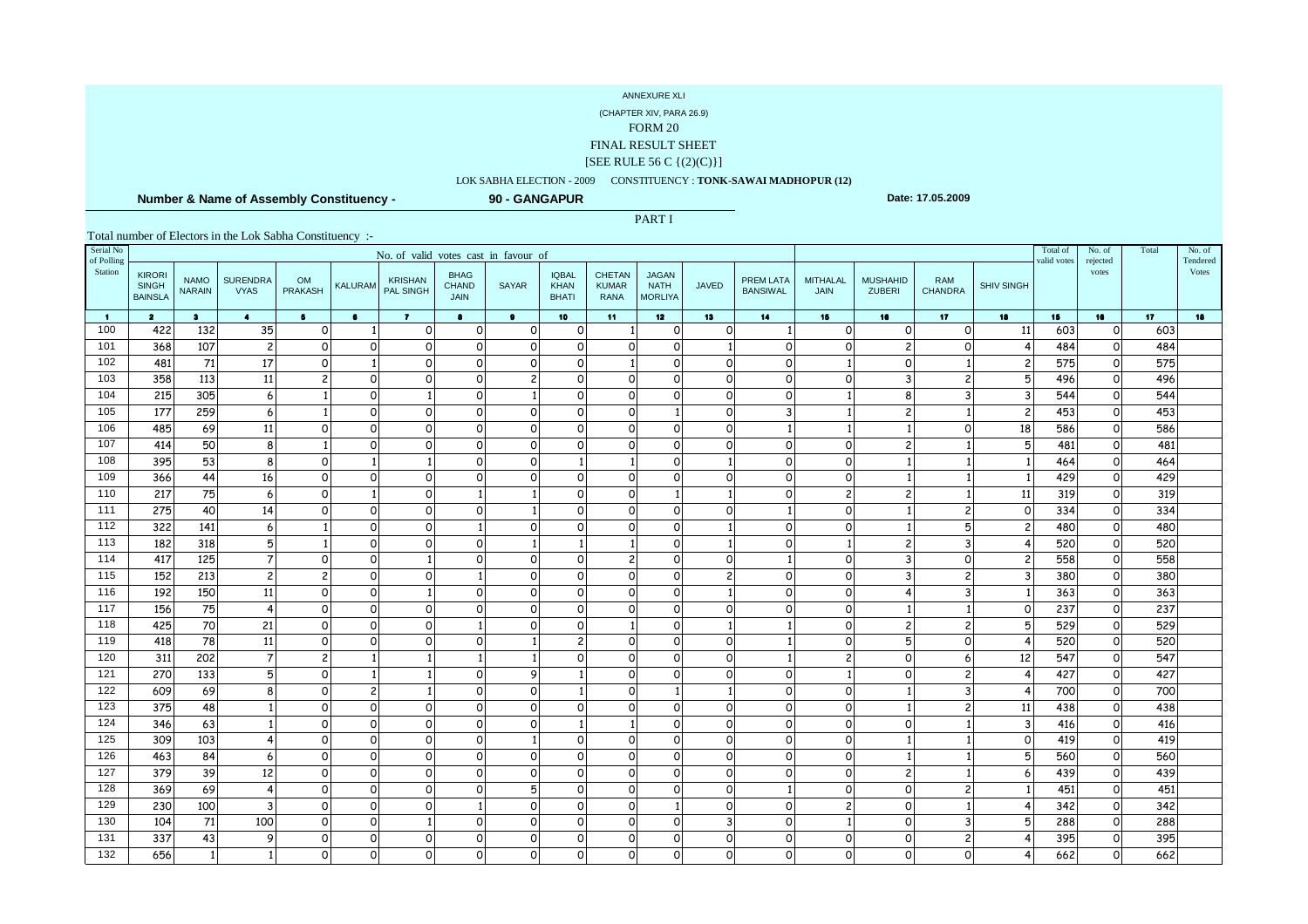(CHAPTER XIV, PARA 26.9)

FORM 20

FINAL RESULT SHEET

#### [SEE RULE 56 C {(2)(C)}]

### LOK SABHA ELECTION - 2009 CONSTITUENCY : **TONK-SAWAI MADHOPUR (12)**

PART I

 **Number & Name of Assembly Constituency -**

**90 - GANGAPUR**

**Date: 17.05.2009**

| Serial No<br>of Polling | No. of valid votes cast in favour of            |                              |                                |                      |                |                             |                                            |                         |                                             |                                              |                                               |                          |                                     |                            |                                  |                          |                   | Total of<br>valid votes | No. of<br>rejected  | Total           | No. of<br>Tendered |
|-------------------------|-------------------------------------------------|------------------------------|--------------------------------|----------------------|----------------|-----------------------------|--------------------------------------------|-------------------------|---------------------------------------------|----------------------------------------------|-----------------------------------------------|--------------------------|-------------------------------------|----------------------------|----------------------------------|--------------------------|-------------------|-------------------------|---------------------|-----------------|--------------------|
| Station                 | <b>KIRORI</b><br><b>SINGH</b><br><b>BAINSLA</b> | <b>NAMO</b><br><b>NARAIN</b> | <b>SURENDRA</b><br><b>VYAS</b> | OM<br>PRAKASH        | <b>KALURAM</b> | <b>KRISHAN</b><br>PAL SINGH | <b>BHAG</b><br><b>CHAND</b><br><b>JAIN</b> | <b>SAYAR</b>            | <b>IQBAL</b><br><b>KHAN</b><br><b>BHATI</b> | <b>CHETAN</b><br><b>KUMAR</b><br><b>RANA</b> | <b>JAGAN</b><br><b>NATH</b><br><b>MORLIYA</b> | <b>JAVED</b>             | <b>PREM LATA</b><br><b>BANSIWAL</b> | <b>MITHALAL</b><br>JAIN    | <b>MUSHAHID</b><br><b>ZUBERI</b> | RAM<br><b>CHANDRA</b>    | <b>SHIV SINGH</b> |                         | votes               |                 | Votes              |
| $\blacksquare$          | $\overline{\mathbf{2}}$                         | $\bullet$                    | $\blacktriangleleft$           | 5 <sub>1</sub>       | $\bullet$      | $\mathbf{7}$                | $\bullet$                                  | $\bullet$               | 10                                          | 11 <sub>1</sub>                              | 12 <sub>2</sub>                               | 13                       | 14                                  | 15                         | 16                               | 17 <sub>2</sub>          | 18                | 15                      | 16                  | 17 <sub>1</sub> | 18                 |
| 100                     | 422                                             | 132                          | 35                             | $\Omega$             |                | $\mathbf 0$                 | $\mathsf{o}$                               | $\mathsf{o}$            | 0                                           |                                              | $\overline{O}$                                | $\Omega$                 | 1 <sup>1</sup>                      | $\mathbf 0$                | $\Omega$                         | $\Omega$                 | 11                | 603                     | $\circ$             | 603             |                    |
| 101                     | 368                                             | 107                          | $\overline{c}$                 | $\Omega$             | $\Omega$       | $\circ$                     | $\mathsf{o}$                               | $\mathsf{o}$            | $\mathsf{o}$                                | $\Omega$                                     | $\overline{O}$                                |                          | οl                                  | $\mathsf{o}$               | $\overline{c}$                   | $\Omega$                 | 4                 | 484                     | 0                   | 484             |                    |
| 102                     | 481                                             | 71                           | 17                             | $\Omega$             |                | $\circ$                     | $\Omega$                                   | $\mathsf{o}$            | $\circ$                                     |                                              | $\circ$                                       | $\Omega$                 | $\circ$                             | $\mathbf{1}$               | 0                                |                          | 2                 | 575                     | $\circ$             | 575             |                    |
| 103                     | 358                                             | 113                          | 11                             |                      | $\Omega$       | $\Omega$                    | $\Omega$                                   | $\overline{2}$          | $\circ$                                     | $\Omega$                                     | $\Omega$                                      | $\Omega$                 | $\Omega$                            | $\Omega$                   | 3                                |                          | 5                 | 496                     | $\Omega$            | 496             |                    |
| 104                     | 215                                             | 305                          | 6                              |                      | $\Omega$       |                             | $\Omega$                                   |                         | $\circ$                                     | $\mathsf{o}$                                 | $\Omega$                                      | $\circ$                  | $\Omega$                            |                            | 8                                | 3                        |                   | 544                     | $\mathbf 0$         | 544             |                    |
| 105                     | 177                                             | 259                          | 6                              |                      | $\circ$        | $\Omega$                    | $\Omega$                                   | $\circ$                 | $\Omega$                                    | $\Omega$                                     | $\mathbf{1}$                                  | $\Omega$                 | $\overline{3}$                      | $\mathbf{1}$               | $\overline{c}$                   |                          | $\overline{c}$    | 453                     | $\Omega$            | 453             |                    |
| 106                     | 485                                             | 69                           | 11                             | $\Omega$             | $\mathsf{o}$   | $\mathbf 0$                 | $\circ$                                    | $\circ$                 | $\mathsf{o}$                                | $\circ$                                      | $\circ$                                       | $\Omega$                 | $\mathbf{1}$                        | $\mathbf{1}$               |                                  | $\Omega$                 | 18                | 586                     | $\circ$             | 586             |                    |
| 107                     | 414                                             | 50                           | 8                              |                      | $\Omega$       | $\Omega$                    | $\Omega$                                   | $\circ$                 | $\Omega$                                    | $\Omega$                                     | $\Omega$                                      | $\Omega$                 | $\Omega$                            | $\mathsf{o}$               | 2                                |                          | 5                 | 481                     | $\Omega$            | 481             |                    |
| 108<br>109              | 395<br>366                                      | 53<br>44                     | 8<br>16                        | $\Omega$<br>$\Omega$ | $\mathsf{o}$   | $\Omega$                    | $\Omega$<br>$\Omega$                       | $\circ$<br>$\mathsf{o}$ | $\circ$                                     | $\Omega$                                     | $\circ$<br>$\circ$                            | $\Omega$                 | $\circ$<br>$\circ$                  | $\mathbf 0$<br>$\mathbf 0$ |                                  |                          |                   | 464<br>429              | $\circ$<br>$\Omega$ | 464<br>429      |                    |
| 110                     | 217                                             | 75                           | 6                              | $\Omega$             |                | $\Omega$                    |                                            |                         | $\circ$                                     | $\Omega$                                     | $\mathbf{1}$                                  |                          | $\circ$                             | $\overline{c}$             | 2                                |                          | 11                | 319                     | $\circ$             | 319             |                    |
| 111                     | 275                                             | 40                           | 14                             | $\Omega$             | $\Omega$       | $\Omega$                    | $\Omega$                                   |                         | $\Omega$                                    | $\Omega$                                     | $\Omega$                                      | $\Omega$                 | $1\overline{ }$                     | $\mathbf 0$                |                                  | $\overline{c}$           | $\Omega$          | 334                     | $\Omega$            | 334             |                    |
| 112                     | 322                                             | 141                          | 6                              |                      | $\Omega$       | $\circ$                     |                                            | $\mathsf{o}$            | $\circ$                                     | $\circ$                                      | $\circ$                                       |                          | $\circ$                             | $\mathsf O$                |                                  | 5                        | 2                 | 480                     | $\circ$             | 480             |                    |
| 113                     | 182                                             | 318                          | 5                              |                      | $\Omega$       | $\Omega$                    | $\Omega$                                   |                         |                                             |                                              | $\circ$                                       |                          | $\circ$                             | $\mathbf{1}$               | $\overline{c}$                   | 3                        |                   | 520                     | $\circ$             | 520             |                    |
| 114                     | 417                                             | 125                          | $\overline{7}$                 | $\Omega$             | $\Omega$       |                             | $\Omega$                                   | $\Omega$                | $\Omega$                                    | $\overline{2}$                               | $\Omega$                                      | $\Omega$                 | $\mathbf{1}$                        | $\mathsf{o}$               | $\overline{3}$                   | $\Omega$                 | $\mathfrak{p}$    | 558                     | $\Omega$            | 558             |                    |
| 115                     | 152                                             | 213                          | 2                              | 2                    | $\circ$        | $\Omega$                    |                                            | $\mathsf{o}$            | $\circ$                                     | $\Omega$                                     | $\circ$                                       | $\overline{\phantom{a}}$ | οl                                  | $\mathsf{o}$               | 3                                | $\overline{c}$           |                   | 380                     | $\circ$             | 380             |                    |
| 116                     | 192                                             | 150                          | 11                             | $\Omega$             | $\circ$        |                             | $\Omega$                                   | $\mathsf{o}$            | $\circ$                                     | $\Omega$                                     | $\Omega$                                      |                          | $\Omega$                            | $\circ$                    |                                  | 3                        |                   | 363                     | $\Omega$            | 363             |                    |
| 117                     | 156                                             | 75                           | 4                              | 0                    | $\mathsf{o}$   | $\circ$                     | $\Omega$                                   | $\mathsf{o}$            | $\circ$                                     | $\circ$                                      | $\circ$                                       | $\Omega$                 | $\circ$                             | $\mathsf O$                |                                  |                          | ∩                 | 237                     | $\circ$             | 237             |                    |
| 118                     | 425                                             | 70                           | 21                             | $\Omega$             | $\mathsf{o}$   | $\Omega$                    |                                            | $\Omega$                | $\Omega$                                    |                                              | $\Omega$                                      |                          |                                     | $\circ$                    | $\overline{c}$                   | $\overline{c}$           |                   | 529                     | $\Omega$            | 529             |                    |
| 119                     | 418                                             | $\overline{78}$              | 11                             | $\Omega$             | $\mathsf{o}$   | $\Omega$                    | $\Omega$                                   |                         | $\overline{c}$                              | $\Omega$                                     | $\overline{O}$                                | $\Omega$                 |                                     | $\mathsf{o}$               | 5                                | $\Omega$                 |                   | 520                     | $\circ$             | 520             |                    |
| 120                     | 311                                             | 202                          | $\overline{7}$                 | $\overline{c}$       |                |                             |                                            |                         | $\Omega$                                    | $\Omega$                                     | $\circ$                                       | $\Omega$                 | $\mathbf{1}$                        | $\overline{c}$             | $\Omega$                         | 6                        | 12                | 547                     | $\circ$             | 547             |                    |
| 121                     | 270                                             | 133                          | 5                              | $\Omega$             |                |                             | $\Omega$                                   | 9                       |                                             | $\circ$                                      | $\circ$                                       | $\Omega$                 | $\circ$                             | $\mathbf{1}$               | $\Omega$                         | $\overline{\phantom{0}}$ |                   | 427                     | $\circ$             | 427             |                    |
| 122                     | 609                                             | 69                           | 8                              | $\Omega$             | $\overline{c}$ |                             | $\Omega$                                   | $\mathsf{o}$            |                                             | $\Omega$                                     | $\mathbf{1}$                                  |                          | $\Omega$                            | $\circ$                    |                                  | 3                        |                   | 700                     | $\Omega$            | 700             |                    |
| 123                     | 375                                             | 48                           |                                | $\Omega$             | $\mathsf{o}$   | $\Omega$                    | $\Omega$                                   | $\mathsf{o}$            | $\circ$                                     | $\circ$                                      | $\overline{O}$                                | $\Omega$                 | $\circ$                             | $\mathsf{o}$               |                                  | $\overline{c}$           | 11                | 438                     | $\circ$             | 438             |                    |
| 124                     | 346                                             | 63                           |                                | O                    | $\Omega$       | $\Omega$                    | $\Omega$                                   | $\mathsf{o}$            |                                             |                                              | $\Omega$                                      | $\Omega$                 | $\Omega$                            | $\mathsf{o}$               | $\Omega$                         |                          |                   | 416                     | $\Omega$            | 416             |                    |
| 125                     | 309                                             | 103                          |                                | $\Omega$             | $\mathsf{o}$   | $\circ$                     | $\mathsf{o}$                               |                         | $\circ$                                     | $\circ$                                      | <sub>0</sub>                                  | $\Omega$                 | $\circ$                             | $\circ$                    |                                  |                          | O                 | 419                     | 0                   | 419             |                    |
| 126                     | 463                                             | 84                           | 6                              | O                    | $\Omega$       | $\Omega$                    | $\Omega$                                   | $\mathsf{o}$            | $\circ$                                     | $\mathsf{o}$                                 | <sub>0</sub>                                  | $\Omega$                 | $\circ$                             | $\circ$                    |                                  |                          | 5                 | 560                     | 0                   | 560             |                    |
| 127                     | 379                                             | 39                           | 12                             | $\Omega$             | $\Omega$       | $\Omega$                    | $\Omega$                                   | $\Omega$                | $\Omega$                                    | $\Omega$                                     | $\Omega$                                      | $\Omega$                 | $\Omega$                            | $\Omega$                   | $\overline{c}$                   |                          |                   | 439                     | $\Omega$            | 439             |                    |
| 128                     | 369                                             | 69                           | 4                              | $\Omega$             | $\mathsf{o}$   | $\Omega$                    | $\Omega$                                   | 5                       | $\circ$                                     | $\circ$                                      | $\Omega$                                      | $\Omega$                 | $\mathbf{1}$                        | $\circ$                    | 0                                | $\overline{\phantom{0}}$ |                   | 451                     | $\Omega$            | 451             |                    |
| 129                     | 230                                             | 100                          | 3                              | $\Omega$             | $\circ$        | $\Omega$                    |                                            | $\circ$                 | $\circ$                                     | $\Omega$                                     | 1                                             | $\Omega$                 | $\Omega$                            | $\overline{c}$             | $\Omega$                         |                          |                   | 342                     | $\Omega$            | 342             |                    |
| 130                     | 104                                             | 71                           | 100                            | $\Omega$             | $\mathsf{o}$   | 1                           | $\Omega$                                   | $\mathsf{o}$            | $\circ$                                     | $\mathsf{o}$                                 | $\Omega$                                      | 3                        | $\circ$                             | $\mathbf{1}$               | 0                                | 3                        | 厉                 | 288                     | 0                   | 288             |                    |
| 131                     | 337                                             | 43                           | 9                              | $\Omega$             | $\Omega$       | $\Omega$                    | $\Omega$                                   | $\mathsf{o}$            | $\circ$                                     | $\circ$                                      | $\Omega$                                      | $\Omega$                 | $\circ$                             | $\mathsf{o}$               | $\circ$                          | $\overline{c}$           |                   | 395                     | $\Omega$            | 395             |                    |
| 132                     | 656                                             | $1\overline{ }$              |                                | O                    | $\mathsf{o}\,$ | 0                           | $\circ$                                    | $\mathsf{o}\,$          | $\mathbf 0$                                 | $\circ$                                      | <sub>0</sub>                                  | $\mathbf 0$              | $\Omega$                            | $\Omega$                   | O                                | O                        |                   | 662                     | $\circ$             | 662             |                    |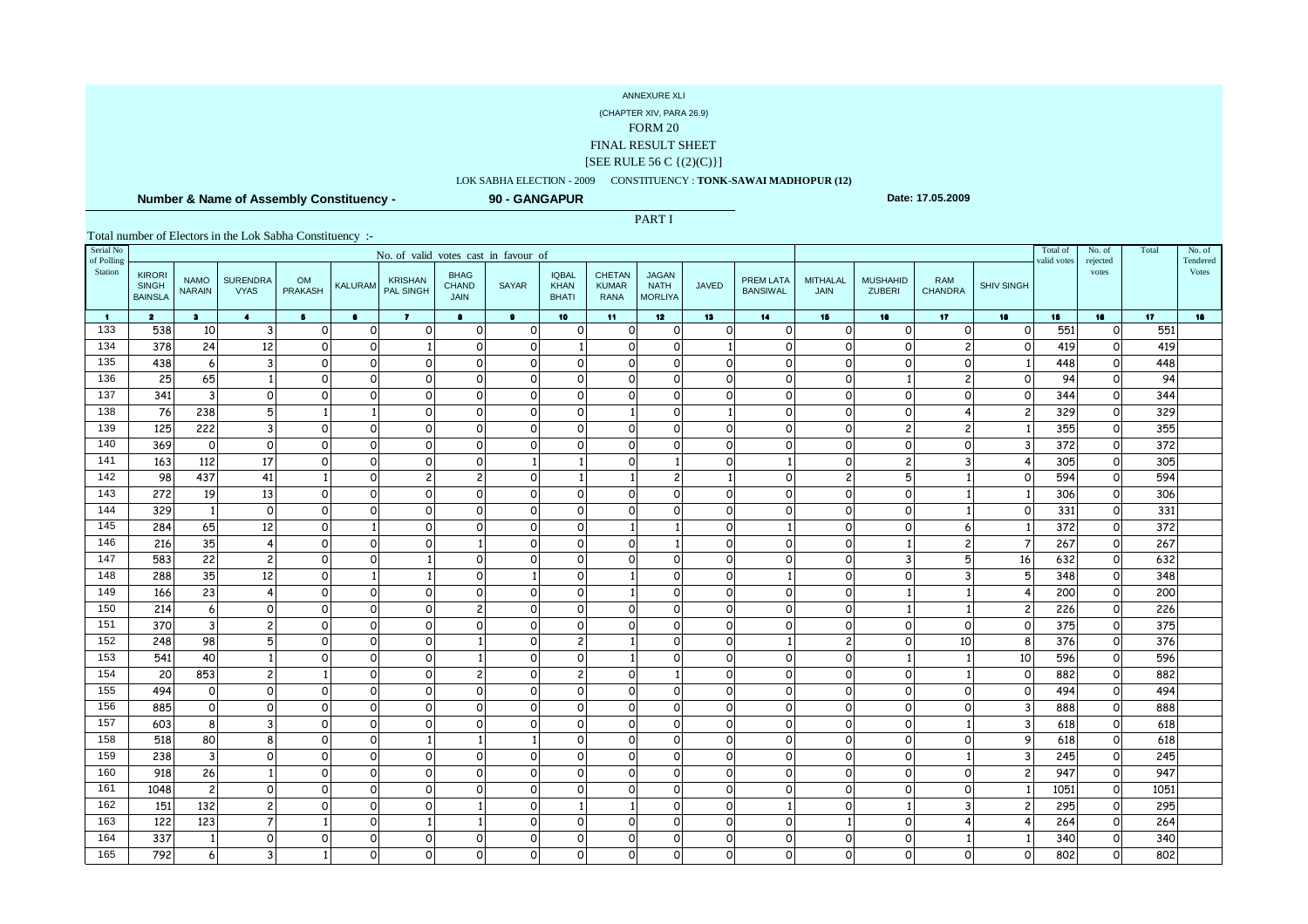(CHAPTER XIV, PARA 26.9)

FORM 20

FINAL RESULT SHEET

#### [SEE RULE 56 C {(2)(C)}]

### LOK SABHA ELECTION - 2009 CONSTITUENCY : **TONK-SAWAI MADHOPUR (12)**

PART I

 **Number & Name of Assembly Constituency -**

**90 - GANGAPUR**

**Date: 17.05.2009**

| Serial No<br>of Polling |                                | No. of valid votes cast in favour of<br><b>KIRORI</b><br><b>BHAG</b><br><b>IQBAL</b><br>CHETAN<br><b>JAGAN</b> |                                |                             |                      |                             |                            |                              |                             |                             |                               |              |                              |                               |                           |                       |                         | Total of<br>valid votes | No. of<br>rejected      | Total           | No. of<br>Tendered |
|-------------------------|--------------------------------|----------------------------------------------------------------------------------------------------------------|--------------------------------|-----------------------------|----------------------|-----------------------------|----------------------------|------------------------------|-----------------------------|-----------------------------|-------------------------------|--------------|------------------------------|-------------------------------|---------------------------|-----------------------|-------------------------|-------------------------|-------------------------|-----------------|--------------------|
| Station                 | <b>SINGH</b><br><b>BAINSLA</b> | <b>NAMO</b><br><b>NARAIN</b>                                                                                   | <b>SURENDRA</b><br><b>VYAS</b> | <b>OM</b><br><b>PRAKASH</b> | <b>KALURAM</b>       | <b>KRISHAN</b><br>PAL SINGH | CHAND<br><b>JAIN</b>       | <b>SAYAR</b>                 | <b>KHAN</b><br><b>BHATI</b> | <b>KUMAR</b><br><b>RANA</b> | <b>NATH</b><br><b>MORLIYA</b> | <b>JAVED</b> | PREM LATA<br><b>BANSIWAL</b> | <b>MITHALAL</b><br>JAIN       | <b>MUSHAHID</b><br>ZUBERI | RAM<br><b>CHANDRA</b> | <b>SHIV SINGH</b>       |                         | votes                   |                 | Votes              |
| $\blacksquare$          | $\overline{\mathbf{2}}$        | $3 -$                                                                                                          | $\bullet$                      | $5 -$                       | $\bullet$            | $\mathbf{7}$                | $\bullet$                  | $\bullet$                    | 10                          | $-11$                       | 12 <sub>2</sub>               | 13           | 14                           | 15                            | 16                        | 17 <sub>2</sub>       | 18                      | 15                      | 16                      | 17 <sub>2</sub> | 18                 |
| 133                     | 538                            | 10                                                                                                             | $\overline{3}$                 | $\Omega$                    | $\Omega$             | $\Omega$                    | $\Omega$                   | $\mathsf{o}$                 | $\Omega$                    | $\mathsf{o}$                | $\overline{O}$                | $\Omega$     | $\Omega$                     | $\Omega$                      | $\Omega$                  | $\Omega$              | $\circ$                 | 551                     | $\Omega$                | 551             |                    |
| 134                     | 378                            | 24                                                                                                             | 12                             | $\Omega$                    | $\circ$              |                             | $\Omega$                   | $\mathsf{o}$                 |                             | $\mathsf{o}$                | $\overline{O}$                |              | $\circ$                      | $\circ$                       | $\Omega$                  | $\overline{c}$        | $\circ$                 | 419                     | $\circ$                 | 419             |                    |
| 135                     | 438                            | 6                                                                                                              | $\overline{3}$                 | ∩                           | 0                    | $\Omega$                    | $\Omega$                   | $\mathsf{o}$                 | $\circ$                     | O                           | <sub>0</sub>                  | $\Omega$     | $\circ$                      | $\circ$                       | $\Omega$                  | $\Omega$              | 1                       | 448                     | $\circ$                 | 448             |                    |
| 136                     | 25                             | 65                                                                                                             |                                | ∩                           | $\Omega$             | $\Omega$                    | $\mathsf{o}$               | $\mathsf{o}$                 | $\circ$                     | $\circ$                     | $\circ$                       | $\Omega$     | $\circ$                      | $\Omega$                      |                           | $\overline{c}$        | $\circ$                 | 94                      | $\circ$                 | 94              |                    |
| 137                     | 341                            | $\overline{3}$                                                                                                 | $\circ$                        | ∩                           | 0                    | $\Omega$                    | $\Omega$                   | $\mathsf{o}$                 | $\circ$                     | $\Omega$                    | $\circ$                       | $\Omega$     | $\circ$                      | $\circ$                       | $\Omega$                  | $\mathsf{o}$          | $\circ$                 | 344                     | $\circ$                 | 344             |                    |
| 138                     | 76                             | 238                                                                                                            | 5                              |                             |                      | $\Omega$                    | $\circ$                    | $\mathsf{o}$                 | $\circ$                     |                             | $\circ$                       |              | $\circ$                      | $\circ$                       | $\Omega$                  |                       | $\overline{2}$          | 329                     | $\circ$                 | 329             |                    |
| 139                     | 125                            | 222                                                                                                            | $\overline{3}$                 |                             | $\Omega$             | $\Omega$                    | $\Omega$                   | $\mathsf{o}$                 | $\circ$                     | $\circ$                     | $\circ$                       | $\Omega$     | $\circ$                      | $\circ$                       | 2                         | $\overline{c}$        |                         | 355                     | $\circ$                 | 355             |                    |
| 140                     | 369                            | $\circ$                                                                                                        | $\circ$                        | $\Omega$                    | 0                    | $\Omega$                    | $\circ$                    | $\mathsf{o}$                 | $\circ$                     | $\mathsf{o}$                | $\circ$                       | $\Omega$     | $\circ$                      | $\mathsf{o}$                  | $\Omega$                  | $\Omega$              | $\overline{\mathbf{3}}$ | 372                     | $\circ$                 | 372             |                    |
| 141<br>142              | 163<br>98                      | 112<br>437                                                                                                     | 17<br>41                       |                             | $\Omega$             | $\Omega$<br>$\overline{c}$  | $\Omega$                   |                              |                             | $\circ$                     |                               | $\Omega$     | $\mathbf{1}$                 | $\circ$                       | 2<br>5                    |                       | 4                       | 305<br>594              | $\circ$                 | 305<br>594      |                    |
| 143                     | 272                            | 19                                                                                                             | 13                             | $\Omega$                    | $\Omega$<br>$\Omega$ | $\Omega$                    | $\overline{c}$<br>$\Omega$ | $\mathsf{o}$<br>$\mathsf{o}$ | $\circ$                     | $\Omega$                    | 2 <sub>l</sub><br>$\circ$     | $\Omega$     | $\circ$<br>$\Omega$          | $\overline{c}$<br>$\mathbf 0$ | $\circ$                   |                       | $\circ$<br>1            | 306                     | $\circ$<br>$\mathsf{o}$ | 306             |                    |
| 144                     | 329                            | $\vert$ 1                                                                                                      | $\circ$                        | $\Omega$                    | $\circ$              | $\Omega$                    | $\Omega$                   | $\mathsf{o}$                 | $\circ$                     | $\Omega$                    | $\circ$                       | $\Omega$     | οl                           | $\mathbf 0$                   | $\circ$                   |                       | $\circ$                 | 331                     | $\mathsf{o}$            | 331             |                    |
| 145                     | 284                            | 65                                                                                                             | 12                             | $\Omega$                    |                      | $\Omega$                    | $\Omega$                   | $\Omega$                     | $\Omega$                    |                             |                               | $\Omega$     | $\mathbf{1}$                 | $\mathbf 0$                   | $\Omega$                  | 6                     | 1                       | 372                     | $\Omega$                | 372             |                    |
| 146                     | 216                            | 35                                                                                                             | $\overline{4}$                 | $\Omega$                    | $\circ$              | $\Omega$                    |                            | $\mathsf{o}$                 | $\circ$                     | $\Omega$                    |                               | $\Omega$     | οl                           | $\mathbf 0$                   |                           | $\overline{c}$        |                         | 267                     | $\circ$                 | 267             |                    |
| 147                     | 583                            | 22                                                                                                             | $\overline{c}$                 | $\Omega$                    | $\Omega$             |                             | $\Omega$                   | $\Omega$                     | $\Omega$                    | $\Omega$                    | $\Omega$                      | $\Omega$     | οl                           | $\mathbf 0$                   | 3                         | 5                     | 16                      | 632                     | $\Omega$                | 632             |                    |
| 148                     | 288                            | 35                                                                                                             | 12                             | $\Omega$                    |                      |                             | $\Omega$                   |                              | $\Omega$                    |                             | $\Omega$                      | $\Omega$     | 1 <sup>1</sup>               | $\Omega$                      | $\Omega$                  | 3                     | 5 <sup>1</sup>          | 348                     | $\Omega$                | 348             |                    |
| 149                     | 166                            | 23                                                                                                             | $\overline{4}$                 | $\Omega$                    | $\Omega$             | $\Omega$                    | $\Omega$                   | $\Omega$                     | $\Omega$                    |                             | $\Omega$                      | $\Omega$     | οl                           | $\mathsf{o}$                  |                           |                       | 4                       | 200                     | $\circ$                 | 200             |                    |
| 150                     | 214                            | $6 \overline{6}$                                                                                               | $\Omega$                       | $\Omega$                    | $\Omega$             | $\Omega$                    | $\overline{c}$             | $\Omega$                     | $\Omega$                    | $\Omega$                    | $\Omega$                      | $\Omega$     | οl                           | $\mathsf{o}$                  |                           |                       | $\overline{2}$          | 226                     | $\Omega$                | 226             |                    |
| 151                     | 370                            | $\overline{3}$                                                                                                 | $\overline{c}$                 | ∩                           | $\Omega$             | $\Omega$                    | $\Omega$                   | $\mathsf{o}$                 | $\circ$                     | $\Omega$                    | $\circ$                       | $\circ$      | $\circ$                      | $\mathsf O$                   | $\Omega$                  | $\Omega$              | $\circ$                 | 375                     | $\circ$                 | 375             |                    |
| 152                     | 248                            | 98                                                                                                             | 5                              | $\Omega$                    | $\Omega$             | $\Omega$                    |                            | $\Omega$                     | $\overline{c}$              |                             | $\Omega$                      | $\Omega$     | 1 <sup>1</sup>               | $\overline{c}$                | $\Omega$                  | 10                    | 8                       | 376                     | $\Omega$                | 376             |                    |
| 153                     | 541                            | 40                                                                                                             |                                | ∩                           | $\circ$              | $\Omega$                    |                            | $\mathsf{o}$                 | $\circ$                     |                             | $\Omega$                      | $\circ$      | οl                           | $\mathsf{o}$                  |                           |                       | 10                      | 596                     | $\circ$                 | 596             |                    |
| 154                     | 20                             | 853                                                                                                            | $\overline{c}$                 |                             | $\Omega$             | $\Omega$                    | $\overline{c}$             | $\Omega$                     | $\overline{c}$              | $\Omega$                    | $\mathbf{1}$                  | $\Omega$     | $\circ$                      | $\mathsf{o}$                  | $\Omega$                  |                       | $\Omega$                | 882                     | $\Omega$                | 882             |                    |
| 155                     | 494                            | $\circ$                                                                                                        | $\Omega$                       | ∩                           | $\Omega$             | $\Omega$                    | $\Omega$                   | $\mathsf{o}$                 | $\circ$                     | $\Omega$                    | $\Omega$                      | $\Omega$     | $\circ$                      | $\mathsf{o}$                  | $\circ$                   | $\Omega$              | 0                       | 494                     | $\Omega$                | 494             |                    |
| 156                     | 885                            | $\circ$                                                                                                        | $\Omega$                       | $\Omega$                    | $\Omega$             | $\Omega$                    | $\Omega$                   | $\Omega$                     | $\Omega$                    | $\Omega$                    | $\Omega$                      | $\Omega$     | $\Omega$                     | $\circ$                       | $\Omega$                  | $\Omega$              | $\overline{3}$          | 888                     | $\Omega$                | 888             |                    |
| 157                     | 603                            | 8                                                                                                              | 3                              |                             | $\Omega$             | $\Omega$                    | $\Omega$                   | $\mathsf{o}$                 | $\Omega$                    | $\mathsf{o}$                | $\overline{O}$                | $\Omega$     | $\Omega$                     | $\circ$                       | $\Omega$                  |                       | 3                       | 618                     | $\Omega$                | 618             |                    |
| 158                     | 518                            | 80                                                                                                             | 8                              | $\Omega$                    | $\Omega$             |                             |                            |                              | $\Omega$                    | $\Omega$                    | $\Omega$                      | $\Omega$     | $\Omega$                     | $\Omega$                      | $\Omega$                  | $\Omega$              | 9                       | 618                     | $\Omega$                | 618             |                    |
| 159                     | 238                            | $\overline{3}$                                                                                                 | $\circ$                        |                             | $\circ$              | $\Omega$                    | $\Omega$                   | $\mathbf 0$                  | $\circ$                     | $\mathsf{o}$                | $\overline{O}$                | $\Omega$     | $\circ$                      | $\circ$                       | $\circ$                   |                       | 3                       | 245                     | $\circ$                 | 245             |                    |
| 160                     | 918                            | 26                                                                                                             |                                |                             | $\Omega$             | $\Omega$                    | $\Omega$                   | $\Omega$                     | $\Omega$                    | $\Omega$                    | $\Omega$                      | $\Omega$     | $\Omega$                     | $\circ$                       | $\Omega$                  | $\Omega$              | $\mathfrak{p}$          | 947                     | $\Omega$                | 947             |                    |
| 161                     | 1048                           | $\overline{2}$                                                                                                 | $\Omega$                       | ∩                           | $\Omega$             | $\Omega$                    | $\Omega$                   | $\mathsf{o}$                 | $\circ$                     | $\Omega$                    | $\circ$                       | $\Omega$     | $\circ$                      | $\mathbf 0$                   | $\circ$                   | $\mathsf{o}$          |                         | 1051                    | $\circ$                 | 1051            |                    |
| 162                     | 151                            | 132                                                                                                            | $\overline{2}$                 |                             | $\Omega$             | $\Omega$                    |                            | $\Omega$                     |                             |                             | $\Omega$                      | $\Omega$     | 1 <sup>1</sup>               | $\Omega$                      |                           | 3                     | $\mathcal{P}$           | 295                     | $\Omega$                | 295             |                    |
| 163                     | 122                            | 123                                                                                                            | $\overline{7}$                 |                             | 0                    |                             |                            | $\circ$                      | $\circ$                     | $\mathsf{o}$                | $\Omega$                      | $\Omega$     | $\circ$                      | $\mathbf{1}$                  | $\circ$                   | 4                     |                         | 264                     | $\Omega$                | 264             |                    |
| 164                     | 337                            | $\mathbf{1}$                                                                                                   | $\Omega$                       | ∩                           | $\Omega$             | $\Omega$                    | $\Omega$                   | $\mathsf{o}$                 | $\circ$                     | $\Omega$                    | $\Omega$                      | $\Omega$     | $\circ$                      | $\mathsf{o}$                  | $\mathsf{o}$              |                       |                         | 340                     | $\Omega$                | 340             |                    |
| 165                     | 792                            | $6 \overline{6}$                                                                                               |                                |                             | $\Omega$             | $\Omega$                    | 0                          | $\mathsf{o}$                 | $\circ$                     | $\circ$                     | $\mathsf{o}$                  | $\Omega$     | 0                            | $\Omega$                      | $\Omega$                  | $\Omega$              | $\Omega$                | 802                     | $\circ$                 | 802             |                    |